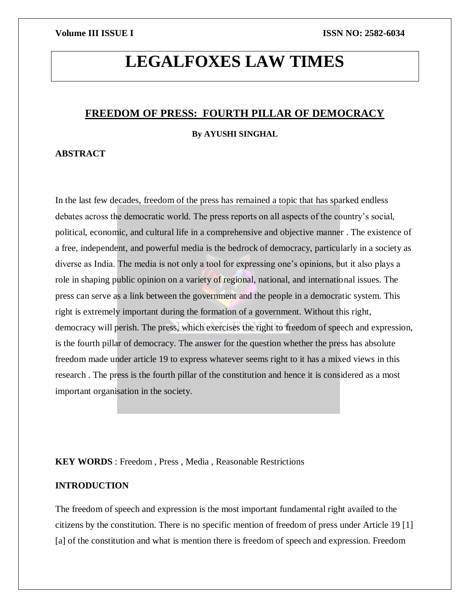# **LEGALFOXES LAW TIMES**

### **FREEDOM OF PRESS: FOURTH PILLAR OF DEMOCRACY**

### **By AYUSHI SINGHAL**

### **ABSTRACT**

In the last few decades, freedom of the press has remained a topic that has sparked endless debates across the democratic world. The press reports on all aspects of the country's social, political, economic, and cultural life in a comprehensive and objective manner . The existence of a free, independent, and powerful media is the bedrock of democracy, particularly in a society as diverse as India. The media is not only a tool for expressing one's opinions, but it also plays a role in shaping public opinion on a variety of regional, national, and international issues. The press can serve as a link between the government and the people in a democratic system. This right is extremely important during the formation of a government. Without this right, democracy will perish. The press, which exercises the right to freedom of speech and expression, is the fourth pillar of democracy. The answer for the question whether the press has absolute freedom made under article 19 to express whatever seems right to it has a mixed views in this research . The press is the fourth pillar of the constitution and hence it is considered as a most important organisation in the society.

### **KEY WORDS** : Freedom , Press , Media , Reasonable Restrictions

### **INTRODUCTION**

The freedom of speech and expression is the most important fundamental right availed to the citizens by the constitution. There is no specific mention of freedom of press under Article 19 [1] [a] of the constitution and what is mention there is freedom of speech and expression. Freedom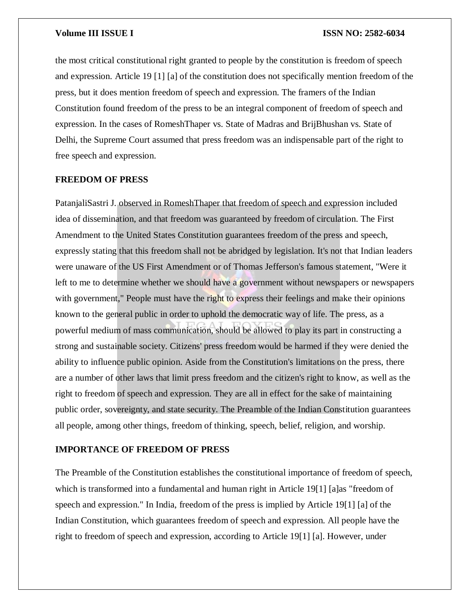the most critical constitutional right granted to people by the constitution is freedom of speech and expression. Article 19 [1] [a] of the constitution does not specifically mention freedom of the press, but it does mention freedom of speech and expression. The framers of the Indian Constitution found freedom of the press to be an integral component of freedom of speech and expression. In the cases of RomeshThaper vs. State of Madras and BrijBhushan vs. State of Delhi, the Supreme Court assumed that press freedom was an indispensable part of the right to free speech and expression.

### **FREEDOM OF PRESS**

PatanjaliSastri J. observed in RomeshThaper that freedom of speech and expression included idea of dissemination, and that freedom was guaranteed by freedom of circulation. The First Amendment to the United States Constitution guarantees freedom of the press and speech, expressly stating that this freedom shall not be abridged by legislation. It's not that Indian leaders were unaware of the US First Amendment or of Thomas Jefferson's famous statement, "Were it left to me to determine whether we should have a government without newspapers or newspapers with government," People must have the right to express their feelings and make their opinions known to the general public in order to uphold the democratic way of life. The press, as a powerful medium of mass communication, should be allowed to play its part in constructing a strong and sustainable society. Citizens' press freedom would be harmed if they were denied the ability to influence public opinion. Aside from the Constitution's limitations on the press, there are a number of other laws that limit press freedom and the citizen's right to know, as well as the right to freedom of speech and expression. They are all in effect for the sake of maintaining public order, sovereignty, and state security. The Preamble of the Indian Constitution guarantees all people, among other things, freedom of thinking, speech, belief, religion, and worship.

### **IMPORTANCE OF FREEDOM OF PRESS**

The Preamble of the Constitution establishes the constitutional importance of freedom of speech, which is transformed into a fundamental and human right in Article 19<sup>[1]</sup> [a]as "freedom of speech and expression." In India, freedom of the press is implied by Article 19[1] [a] of the Indian Constitution, which guarantees freedom of speech and expression. All people have the right to freedom of speech and expression, according to Article 19[1] [a]. However, under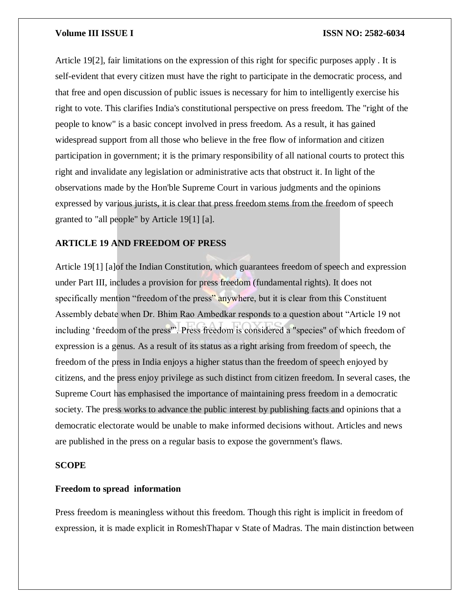Article 19[2], fair limitations on the expression of this right for specific purposes apply . It is self-evident that every citizen must have the right to participate in the democratic process, and that free and open discussion of public issues is necessary for him to intelligently exercise his right to vote. This clarifies India's constitutional perspective on press freedom. The "right of the people to know" is a basic concept involved in press freedom. As a result, it has gained widespread support from all those who believe in the free flow of information and citizen participation in government; it is the primary responsibility of all national courts to protect this right and invalidate any legislation or administrative acts that obstruct it. In light of the observations made by the Hon'ble Supreme Court in various judgments and the opinions expressed by various jurists, it is clear that press freedom stems from the freedom of speech granted to "all people" by Article 19[1] [a].

### **ARTICLE 19 AND FREEDOM OF PRESS**

Article 19[1] [a]of the Indian Constitution, which guarantees freedom of speech and expression under Part III, includes a provision for press freedom (fundamental rights). It does not specifically mention "freedom of the press" anywhere, but it is clear from this Constituent Assembly debate when Dr. Bhim Rao Ambedkar responds to a question about "Article 19 not including 'freedom of the press'". Press freedom is considered a "species" of which freedom of expression is a genus. As a result of its status as a right arising from freedom of speech, the freedom of the press in India enjoys a higher status than the freedom of speech enjoyed by citizens, and the press enjoy privilege as such distinct from citizen freedom. In several cases, the Supreme Court has emphasised the importance of maintaining press freedom in a democratic society. The press works to advance the public interest by publishing facts and opinions that a democratic electorate would be unable to make informed decisions without. Articles and news are published in the press on a regular basis to expose the government's flaws.

### **SCOPE**

### **Freedom to spread information**

Press freedom is meaningless without this freedom. Though this right is implicit in freedom of expression, it is made explicit in RomeshThapar v State of Madras. The main distinction between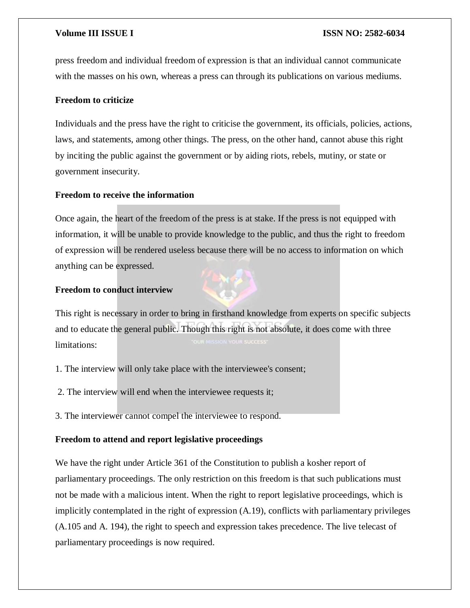press freedom and individual freedom of expression is that an individual cannot communicate with the masses on his own, whereas a press can through its publications on various mediums.

### **Freedom to criticize**

Individuals and the press have the right to criticise the government, its officials, policies, actions, laws, and statements, among other things. The press, on the other hand, cannot abuse this right by inciting the public against the government or by aiding riots, rebels, mutiny, or state or government insecurity.

### **Freedom to receive the information**

Once again, the heart of the freedom of the press is at stake. If the press is not equipped with information, it will be unable to provide knowledge to the public, and thus the right to freedom of expression will be rendered useless because there will be no access to information on which anything can be expressed.

### **Freedom to conduct interview**

This right is necessary in order to bring in firsthand knowledge from experts on specific subjects and to educate the general public. Though this right is not absolute, it does come with three limitations:

- 1. The interview will only take place with the interviewee's consent;
- 2. The interview will end when the interviewee requests it;
- 3. The interviewer cannot compel the interviewee to respond.

### **Freedom to attend and report legislative proceedings**

We have the right under Article 361 of the Constitution to publish a kosher report of parliamentary proceedings. The only restriction on this freedom is that such publications must not be made with a malicious intent. When the right to report legislative proceedings, which is implicitly contemplated in the right of expression (A.19), conflicts with parliamentary privileges (A.105 and A. 194), the right to speech and expression takes precedence. The live telecast of parliamentary proceedings is now required.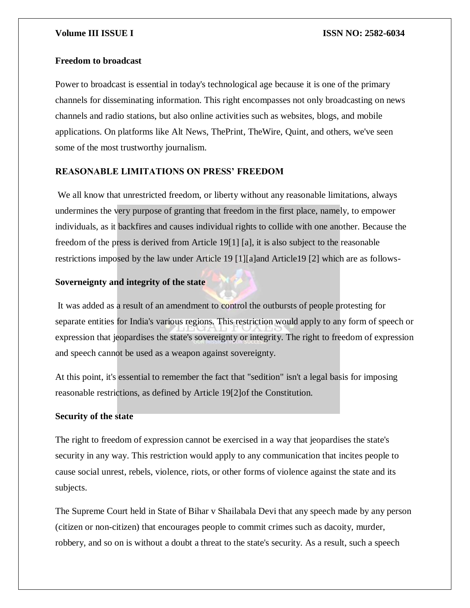### **Freedom to broadcast**

Power to broadcast is essential in today's technological age because it is one of the primary channels for disseminating information. This right encompasses not only broadcasting on news channels and radio stations, but also online activities such as websites, blogs, and mobile applications. On platforms like Alt News, ThePrint, TheWire, Quint, and others, we've seen some of the most trustworthy journalism.

### **REASONABLE LIMITATIONS ON PRESS' FREEDOM**

We all know that unrestricted freedom, or liberty without any reasonable limitations, always undermines the very purpose of granting that freedom in the first place, namely, to empower individuals, as it backfires and causes individual rights to collide with one another. Because the freedom of the press is derived from Article 19[1] [a], it is also subject to the reasonable restrictions imposed by the law under Article 19 [1][a]and Article19 [2] which are as follows-

### **Soverneignty and integrity of the state**

It was added as a result of an amendment to control the outbursts of people protesting for separate entities for India's various regions. This restriction would apply to any form of speech or expression that jeopardises the state's sovereignty or integrity. The right to freedom of expression and speech cannot be used as a weapon against sovereignty.

At this point, it's essential to remember the fact that "sedition" isn't a legal basis for imposing reasonable restrictions, as defined by Article 19[2]of the Constitution.

### **Security of the state**

The right to freedom of expression cannot be exercised in a way that jeopardises the state's security in any way. This restriction would apply to any communication that incites people to cause social unrest, rebels, violence, riots, or other forms of violence against the state and its subjects.

The Supreme Court held in State of Bihar v Shailabala Devi that any speech made by any person (citizen or non-citizen) that encourages people to commit crimes such as dacoity, murder, robbery, and so on is without a doubt a threat to the state's security. As a result, such a speech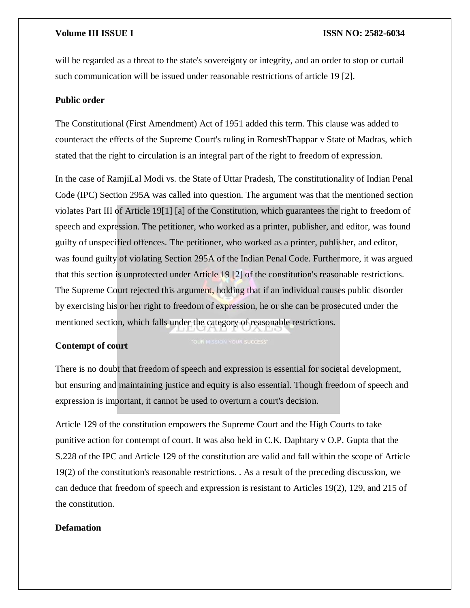will be regarded as a threat to the state's sovereignty or integrity, and an order to stop or curtail such communication will be issued under reasonable restrictions of article 19 [2].

### **Public order**

The Constitutional (First Amendment) Act of 1951 added this term. This clause was added to counteract the effects of the Supreme Court's ruling in RomeshThappar v State of Madras, which stated that the right to circulation is an integral part of the right to freedom of expression.

In the case of RamjiLal Modi vs. the State of Uttar Pradesh, The constitutionality of Indian Penal Code (IPC) Section 295A was called into question. The argument was that the mentioned section violates Part III of Article 19[1] [a] of the Constitution, which guarantees the right to freedom of speech and expression. The petitioner, who worked as a printer, publisher, and editor, was found guilty of unspecified offences. The petitioner, who worked as a printer, publisher, and editor, was found guilty of violating Section 295A of the Indian Penal Code. Furthermore, it was argued that this section is unprotected under Article 19 [2] of the constitution's reasonable restrictions. The Supreme Court rejected this argument, holding that if an individual causes public disorder by exercising his or her right to freedom of expression, he or she can be prosecuted under the mentioned section, which falls under the category of reasonable restrictions.

### **Contempt of court**

There is no doubt that freedom of speech and expression is essential for societal development, but ensuring and maintaining justice and equity is also essential. Though freedom of speech and expression is important, it cannot be used to overturn a court's decision.

Article 129 of the constitution empowers the Supreme Court and the High Courts to take punitive action for contempt of court. It was also held in C.K. Daphtary v O.P. Gupta that the S.228 of the IPC and Article 129 of the constitution are valid and fall within the scope of Article 19(2) of the constitution's reasonable restrictions. . As a result of the preceding discussion, we can deduce that freedom of speech and expression is resistant to Articles 19(2), 129, and 215 of the constitution.

### **Defamation**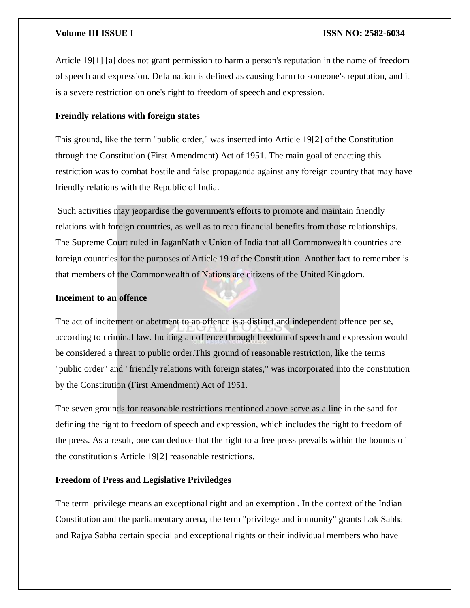Article 19[1] [a] does not grant permission to harm a person's reputation in the name of freedom of speech and expression. Defamation is defined as causing harm to someone's reputation, and it is a severe restriction on one's right to freedom of speech and expression.

### **Freindly relations with foreign states**

This ground, like the term "public order," was inserted into Article 19[2] of the Constitution through the Constitution (First Amendment) Act of 1951. The main goal of enacting this restriction was to combat hostile and false propaganda against any foreign country that may have friendly relations with the Republic of India.

Such activities may jeopardise the government's efforts to promote and maintain friendly relations with foreign countries, as well as to reap financial benefits from those relationships. The Supreme Court ruled in JaganNath v Union of India that all Commonwealth countries are foreign countries for the purposes of Article 19 of the Constitution. Another fact to remember is that members of the Commonwealth of Nations are citizens of the United Kingdom.

### **Inceiment to an offence**

The act of incitement or abetment to an offence is a distinct and independent offence per se, according to criminal law. Inciting an offence through freedom of speech and expression would be considered a threat to public order.This ground of reasonable restriction, like the terms "public order" and "friendly relations with foreign states," was incorporated into the constitution by the Constitution (First Amendment) Act of 1951.

The seven grounds for reasonable restrictions mentioned above serve as a line in the sand for defining the right to freedom of speech and expression, which includes the right to freedom of the press. As a result, one can deduce that the right to a free press prevails within the bounds of the constitution's Article 19[2] reasonable restrictions.

### **Freedom of Press and Legislative Priviledges**

The term privilege means an exceptional right and an exemption . In the context of the Indian Constitution and the parliamentary arena, the term "privilege and immunity" grants Lok Sabha and Rajya Sabha certain special and exceptional rights or their individual members who have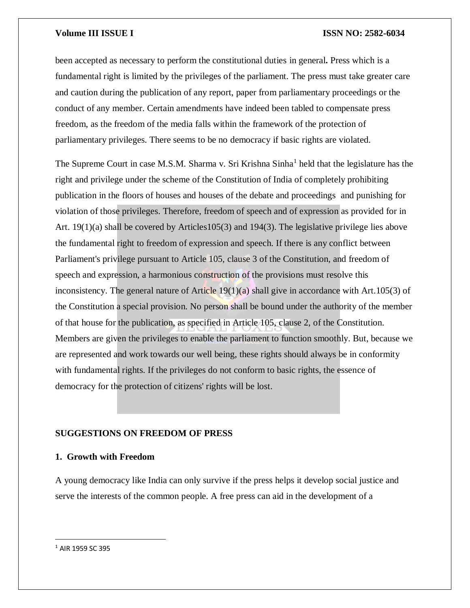been accepted as necessary to perform the constitutional duties in general**.** Press which is a fundamental right is limited by the privileges of the parliament. The press must take greater care and caution during the publication of any report, paper from parliamentary proceedings or the conduct of any member. Certain amendments have indeed been tabled to compensate press freedom, as the freedom of the media falls within the framework of the protection of parliamentary privileges. There seems to be no democracy if basic rights are violated.

The Supreme Court in case M.S.M. Sharma v. Sri Krishna Sinha<sup>1</sup> held that the legislature has the right and privilege under the scheme of the Constitution of India of completely prohibiting publication in the floors of houses and houses of the debate and proceedings and punishing for violation of those privileges. Therefore, freedom of speech and of expression as provided for in Art. 19(1)(a) shall be covered by Articles105(3) and 194(3). The legislative privilege lies above the fundamental right to freedom of expression and speech. If there is any conflict between Parliament's privilege pursuant to Article 105, clause 3 of the Constitution, and freedom of speech and expression, a harmonious construction of the provisions must resolve this inconsistency. The general nature of Article 19(1)(a) shall give in accordance with Art.105(3) of the Constitution a special provision. No person shall be bound under the authority of the member of that house for the publication, as specified in Article 105, clause 2, of the Constitution. Members are given the privileges to enable the parliament to function smoothly. But, because we are represented and work towards our well being, these rights should always be in conformity with fundamental rights. If the privileges do not conform to basic rights, the essence of democracy for the protection of citizens' rights will be lost.

### **SUGGESTIONS ON FREEDOM OF PRESS**

### **1. Growth with Freedom**

A young democracy like India can only survive if the press helps it develop social justice and serve the interests of the common people. A free press can aid in the development of a

 $\overline{a}$ 

<sup>1</sup> AIR 1959 SC 395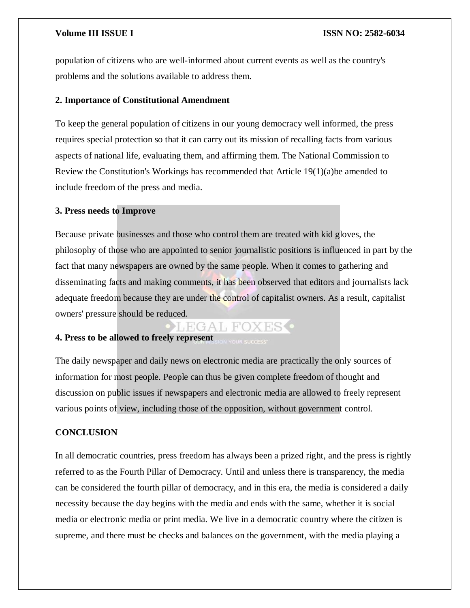population of citizens who are well-informed about current events as well as the country's problems and the solutions available to address them.

### **2. Importance of Constitutional Amendment**

To keep the general population of citizens in our young democracy well informed, the press requires special protection so that it can carry out its mission of recalling facts from various aspects of national life, evaluating them, and affirming them. The National Commission to Review the Constitution's Workings has recommended that Article 19(1)(a)be amended to include freedom of the press and media.

### **3. Press needs to Improve**

Because private businesses and those who control them are treated with kid gloves, the philosophy of those who are appointed to senior journalistic positions is influenced in part by the fact that many newspapers are owned by the same people. When it comes to gathering and disseminating facts and making comments, it has been observed that editors and journalists lack adequate freedom because they are under the control of capitalist owners. As a result, capitalist owners' pressure should be reduced.

# LEGAL FOXES<sup>.</sup>

## **4. Press to be allowed to freely represent**

The daily newspaper and daily news on electronic media are practically the only sources of information for most people. People can thus be given complete freedom of thought and discussion on public issues if newspapers and electronic media are allowed to freely represent various points of view, including those of the opposition, without government control.

### **CONCLUSION**

In all democratic countries, press freedom has always been a prized right, and the press is rightly referred to as the Fourth Pillar of Democracy. Until and unless there is transparency, the media can be considered the fourth pillar of democracy, and in this era, the media is considered a daily necessity because the day begins with the media and ends with the same, whether it is social media or electronic media or print media. We live in a democratic country where the citizen is supreme, and there must be checks and balances on the government, with the media playing a